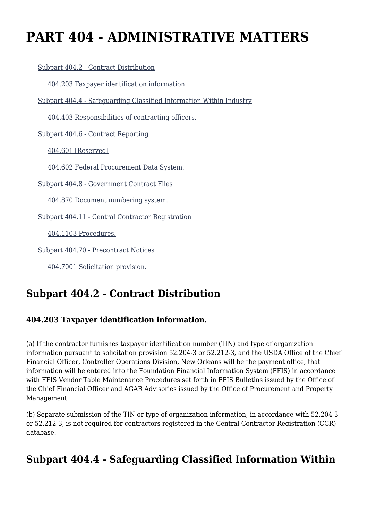# **PART 404 - ADMINISTRATIVE MATTERS**

[Subpart 404.2 - Contract Distribution](https://origin-www.acquisition.gov/%5Brp:link:agar-part-404%5D#Subpart_404_2_T48_4021151)

[404.203 Taxpayer identification information.](https://origin-www.acquisition.gov/%5Brp:link:agar-part-404%5D#Section_404_203_T48_402115111)

[Subpart 404.4 - Safeguarding Classified Information Within Industry](https://origin-www.acquisition.gov/%5Brp:link:agar-part-404%5D#Subpart_404_4_T48_4021152)

[404.403 Responsibilities of contracting officers.](https://origin-www.acquisition.gov/%5Brp:link:agar-part-404%5D#Section_404_403_T48_402115211)

[Subpart 404.6 - Contract Reporting](https://origin-www.acquisition.gov/%5Brp:link:agar-part-404%5D#Subpart_404_6_T48_4021153)

[404.601 \[Reserved\]](https://origin-www.acquisition.gov/%5Brp:link:agar-part-404%5D#Section_404_601_T48_402115311)

[404.602 Federal Procurement Data System.](https://origin-www.acquisition.gov/%5Brp:link:agar-part-404%5D#Section_404_602_T48_402115312)

[Subpart 404.8 - Government Contract Files](https://origin-www.acquisition.gov/%5Brp:link:agar-part-404%5D#Subpart_404_8_T48_4021154)

[404.870 Document numbering system.](https://origin-www.acquisition.gov/%5Brp:link:agar-part-404%5D#Section_404_870_T48_402115411)

[Subpart 404.11 - Central Contractor Registration](https://origin-www.acquisition.gov/%5Brp:link:agar-part-404%5D#Subpart_404_11_T48_4021155)

[404.1103 Procedures.](https://origin-www.acquisition.gov/%5Brp:link:agar-part-404%5D#Section_404_1103_T48_402115511)

[Subpart 404.70 - Precontract Notices](https://origin-www.acquisition.gov/%5Brp:link:agar-part-404%5D#Subpart_404_70_T48_4021156)

[404.7001 Solicitation provision.](https://origin-www.acquisition.gov/%5Brp:link:agar-part-404%5D#Section_404_7001_T48_402115611)

### **Subpart 404.2 - Contract Distribution**

### **404.203 Taxpayer identification information.**

(a) If the contractor furnishes taxpayer identification number (TIN) and type of organization information pursuant to solicitation provision 52.204-3 or 52.212-3, and the USDA Office of the Chief Financial Officer, Controller Operations Division, New Orleans will be the payment office, that information will be entered into the Foundation Financial Information System (FFIS) in accordance with FFIS Vendor Table Maintenance Procedures set forth in FFIS Bulletins issued by the Office of the Chief Financial Officer and AGAR Advisories issued by the Office of Procurement and Property Management.

(b) Separate submission of the TIN or type of organization information, in accordance with 52.204-3 or 52.212-3, is not required for contractors registered in the Central Contractor Registration (CCR) database.

### **Subpart 404.4 - Safeguarding Classified Information Within**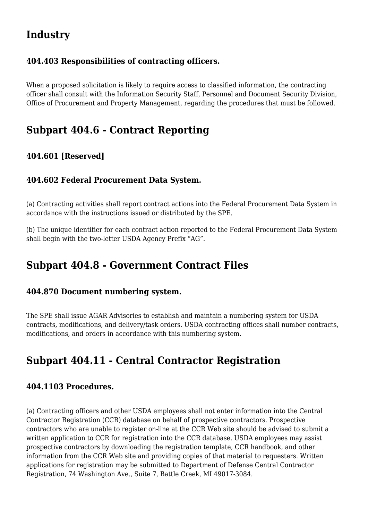# **Industry**

#### **404.403 Responsibilities of contracting officers.**

When a proposed solicitation is likely to require access to classified information, the contracting officer shall consult with the Information Security Staff, Personnel and Document Security Division, Office of Procurement and Property Management, regarding the procedures that must be followed.

### **Subpart 404.6 - Contract Reporting**

### **404.601 [Reserved]**

#### **404.602 Federal Procurement Data System.**

(a) Contracting activities shall report contract actions into the Federal Procurement Data System in accordance with the instructions issued or distributed by the SPE.

(b) The unique identifier for each contract action reported to the Federal Procurement Data System shall begin with the two-letter USDA Agency Prefix "AG".

### **Subpart 404.8 - Government Contract Files**

#### **404.870 Document numbering system.**

The SPE shall issue AGAR Advisories to establish and maintain a numbering system for USDA contracts, modifications, and delivery/task orders. USDA contracting offices shall number contracts, modifications, and orders in accordance with this numbering system.

# **Subpart 404.11 - Central Contractor Registration**

#### **404.1103 Procedures.**

(a) Contracting officers and other USDA employees shall not enter information into the Central Contractor Registration (CCR) database on behalf of prospective contractors. Prospective contractors who are unable to register on-line at the CCR Web site should be advised to submit a written application to CCR for registration into the CCR database. USDA employees may assist prospective contractors by downloading the registration template, CCR handbook, and other information from the CCR Web site and providing copies of that material to requesters. Written applications for registration may be submitted to Department of Defense Central Contractor Registration, 74 Washington Ave., Suite 7, Battle Creek, MI 49017-3084.